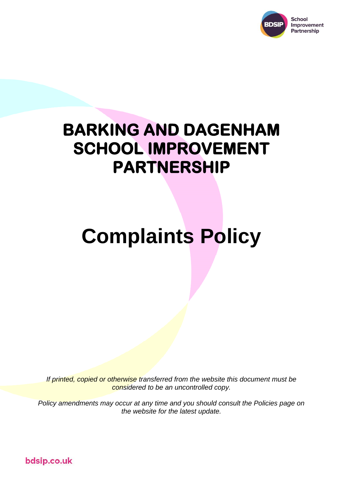

# **BARKING AND DAGENHAM SCHOOL IMPROVEMENT PARTNERSHIP**

# **Complaints Policy**

*If printed, copied or otherwise transferred from the website this document must be considered to be an uncontrolled copy.*

*Policy amendments may occur at any time and you should consult the Policies page on the website for the latest update.*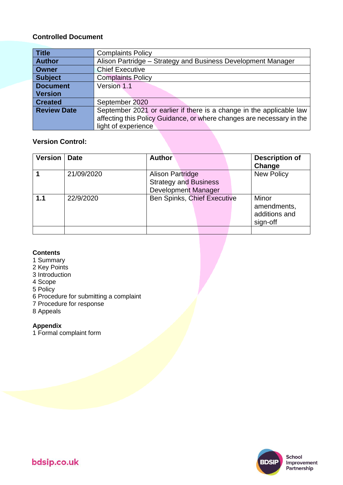#### **Controlled Document**

| <b>Title</b>       | <b>Complaints Policy</b>                                              |  |  |
|--------------------|-----------------------------------------------------------------------|--|--|
| <b>Author</b>      | Alison Partridge – Strategy and Business Development Manager          |  |  |
| <b>Owner</b>       | <b>Chief Executive</b>                                                |  |  |
| <b>Subject</b>     | <b>Complaints Policy</b>                                              |  |  |
| <b>Document</b>    | Version 1.1                                                           |  |  |
| <b>Version</b>     |                                                                       |  |  |
| <b>Created</b>     | September 2020                                                        |  |  |
| <b>Review Date</b> | September 2021 or earlier if there is a change in the applicable law  |  |  |
|                    | affecting this Policy Guidance, or where changes are necessary in the |  |  |
|                    | light of experience                                                   |  |  |

#### **Version Control:**

| <b>Version</b> | <b>Date</b> | <b>Author</b>                                                                         | <b>Description of</b><br>Change                   |
|----------------|-------------|---------------------------------------------------------------------------------------|---------------------------------------------------|
|                | 21/09/2020  | <b>Alison Partridge</b><br><b>Strategy and Business</b><br><b>Development Manager</b> | <b>New Policy</b>                                 |
| 1.1            | 22/9/2020   | Ben Spinks, Chief Executive                                                           | Minor<br>amendments,<br>additions and<br>sign-off |

#### **Contents**

- 1 Summary
- 2 Key Points
- 3 Introduction
- 4 Scope
- 5 Policy
- 6 Procedure for submitting a complaint
- 7 Procedure for response
- 8 Appeals

#### **Appendix**

1 Formal complaint form

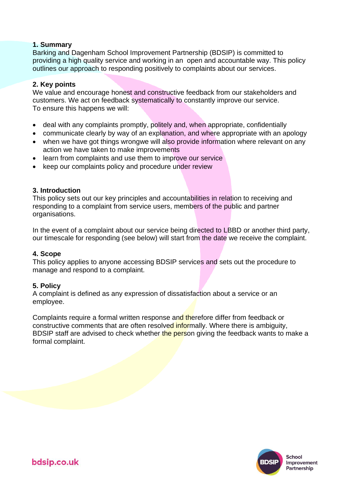#### **1. Summary**

Barking and Dagenham School Improvement Partnership (BDSIP) is committed to providing a high quality service and working in an open and accountable way. This policy outlines our approach to responding positively to complaints about our services.

#### **2. Key points**

We value and encourage honest and constructive feedback from our stakeholders and customers. We act on feedback systematically to constantly improve our service. To ensure this happens we will:

- deal with any complaints promptly, politely and, when appropriate, confidentially
- communicate clearly by way of an explanation, and where appropriate with an apology
- when we have got things wrongwe will also provide information where relevant on any action we have taken to make improvements
- learn from complaints and use them to improve our service
- keep our complaints policy and procedure under review

#### **3. Introduction**

This policy sets out our key principles and accountabilities in relation to receiving and responding to a complaint from service users, members of the public and partner organisations.

In the event of a complaint about our service being directed to LBBD or another third party, our timescale for responding (see below) will start from the date we receive the complaint.

#### **4. Scope**

This policy applies to anyone accessing BDSIP services and sets out the procedure to manage and respond to a complaint.

#### **5. Policy**

A complaint is defined as any expression of dissatisfaction about a service or an employee.

Complaints require a formal written response and therefore differ from feedback or constructive comments that are often resolved informally. Where there is ambiguity, BDSIP staff are advised to check whether the person giving the feedback wants to make a formal complaint.

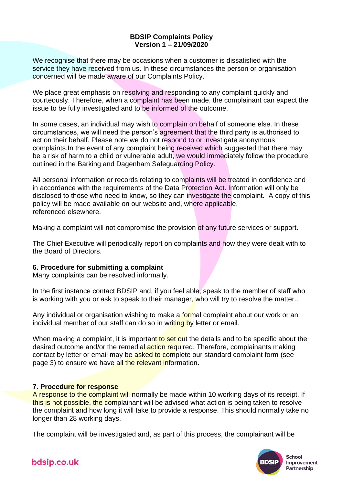#### **BDSIP Complaints Policy Version 1 – 21/09/2020**

We recognise that there may be occasions when a customer is dissatisfied with the service they have received from us. In these circumstances the person or organisation concerned will be made aware of our Complaints Policy.

We place great emphasis on resolving and responding to any complaint quickly and courteously. Therefore, when a complaint has been made, the complainant can expect the issue to be fully investigated and to be informed of the outcome.

In some cases, an individual may wish to complain on behalf of someone else. In these circumstances, we will need the person's agreement that the third party is authorised to act on their behalf. Please note we do not respond to or investigate anonymous complaints.In the event of any complaint being received which suggested that there may be a risk of harm to a child or vulnerable adult, we would immediately follow the procedure outlined in the Barking and Dagenham Safeguarding Policy.

All personal information or records relating to complaints will be treated in confidence and in accordance with the requirements of the Data Protection Act. Information will only be disclosed to those who need to know, so they can investigate the complaint. A copy of this policy will be made available on our website and, where applicable, referenced elsewhere.

Making a complaint will not compromise the provision of any future services or support.

The Chief Executive will periodically report on complaints and how they were dealt with to the Board of Directors.

#### **6. Procedure for submitting a complaint**

Many complaints can be resolved informally.

In the first instance contact BDSIP and, if you feel able, speak to the member of staff who is working with you or ask to speak to their manager, who will try to resolve the matter..

Any individual or organisation wishing to make a formal complaint about our work or an individual member of our staff can do so in writing by letter or email.

When making a complaint, it is important to set out the details and to be specific about the desired outcome and/or the remedial action required. Therefore, complainants making contact by letter or email may be asked to complete our standard complaint form (see page 3) to ensure we have all the relevant information.

#### **7. Procedure for response**

A response to the complaint will normally be made within 10 working days of its receipt. If this is not possible, the complainant will be advised what action is being taken to resolve the complaint and how long it will take to provide a response. This should normally take no longer than 28 working days.

The complaint will be investigated and, as part of this process, the complainant will be



School Improvement Partnership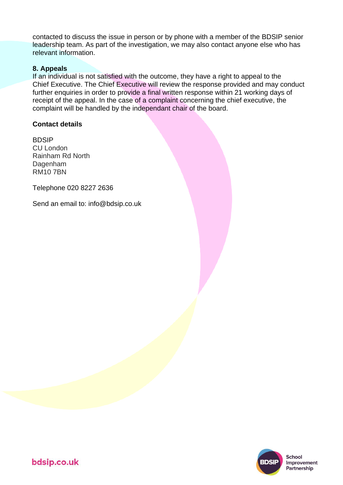contacted to discuss the issue in person or by phone with a member of the BDSIP senior leadership team. As part of the investigation, we may also contact anyone else who has relevant information.

#### **8. Appeals**

If an individual is not satisfied with the outcome, they have a right to appeal to the Chief Executive. The Chief Executive will review the response provided and may conduct further enquiries in order to provide a final written response within 21 working days of receipt of the appeal. In the case of a complaint concerning the chief executive, the complaint will be handled by the independant chair of the board.

#### **Contact details**

BDSIP CU London Rainham Rd North Dagenham RM10 7BN

Telephone 020 8227 2636

Send an email to: info@bdsip.co.uk